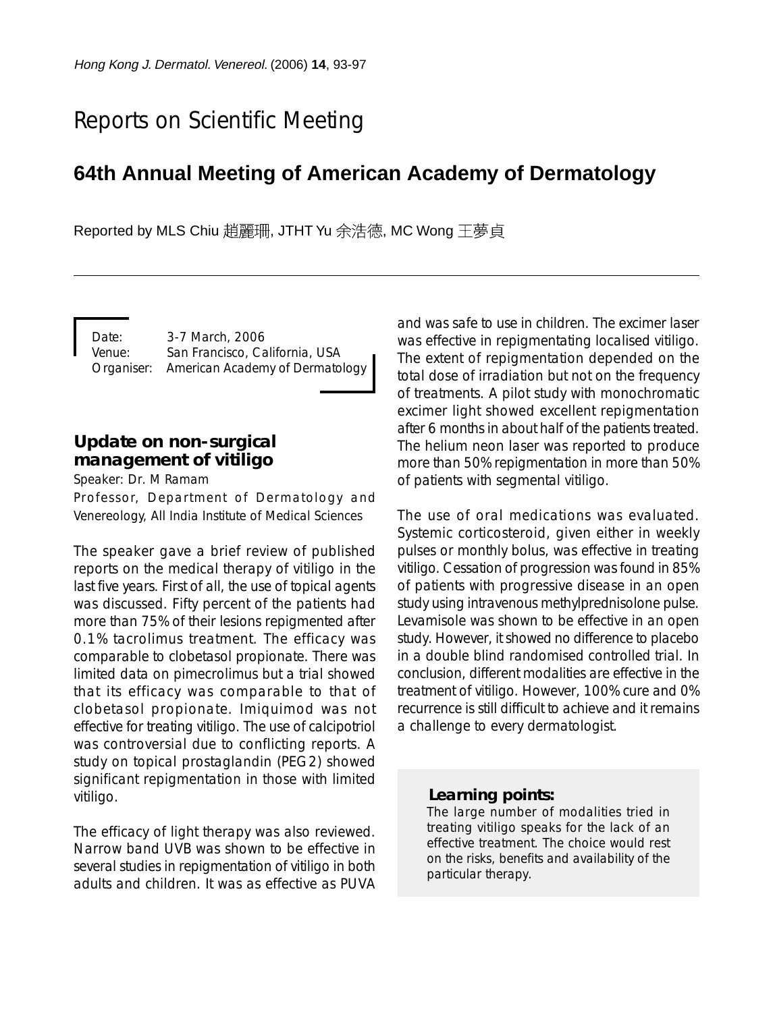# Reports on Scientific Meeting

## **64th Annual Meeting of American Academy of Dermatology**

Reported by MLS Chiu 趙麗珊, JTHT Yu 余浩德, MC Wong 王夢貞

Date: 3-7 March, 2006 Venue: San Francisco, California, USA Organiser: American Academy of Dermatology

### **Update on non-surgical management of vitiligo**

Speaker: Dr. M Ramam

Professor, Department of Dermatology and Venereology, All India Institute of Medical Sciences

The speaker gave a brief review of published reports on the medical therapy of vitiligo in the last five years. First of all, the use of topical agents was discussed. Fifty percent of the patients had more than 75% of their lesions repigmented after 0.1% tacrolimus treatment. The efficacy was comparable to clobetasol propionate. There was limited data on pimecrolimus but a trial showed that its efficacy was comparable to that of clobetasol propionate. Imiquimod was not effective for treating vitiligo. The use of calcipotriol was controversial due to conflicting reports. A study on topical prostaglandin (PEG2) showed significant repigmentation in those with limited vitiligo.

The efficacy of light therapy was also reviewed. Narrow band UVB was shown to be effective in several studies in repigmentation of vitiligo in both adults and children. It was as effective as PUVA and was safe to use in children. The excimer laser was effective in repigmentating localised vitiligo. The extent of repigmentation depended on the total dose of irradiation but not on the frequency of treatments. A pilot study with monochromatic excimer light showed excellent repigmentation after 6 months in about half of the patients treated. The helium neon laser was reported to produce more than 50% repigmentation in more than 50% of patients with segmental vitiligo.

The use of oral medications was evaluated. Systemic corticosteroid, given either in weekly pulses or monthly bolus, was effective in treating vitiligo. Cessation of progression was found in 85% of patients with progressive disease in an open study using intravenous methylprednisolone pulse. Levamisole was shown to be effective in an open study. However, it showed no difference to placebo in a double blind randomised controlled trial. In conclusion, different modalities are effective in the treatment of vitiligo. However, 100% cure and 0% recurrence is still difficult to achieve and it remains a challenge to every dermatologist.

#### *Learning points:*

The large number of modalities tried in treating vitiligo speaks for the lack of an effective treatment. The choice would rest on the risks, benefits and availability of the particular therapy.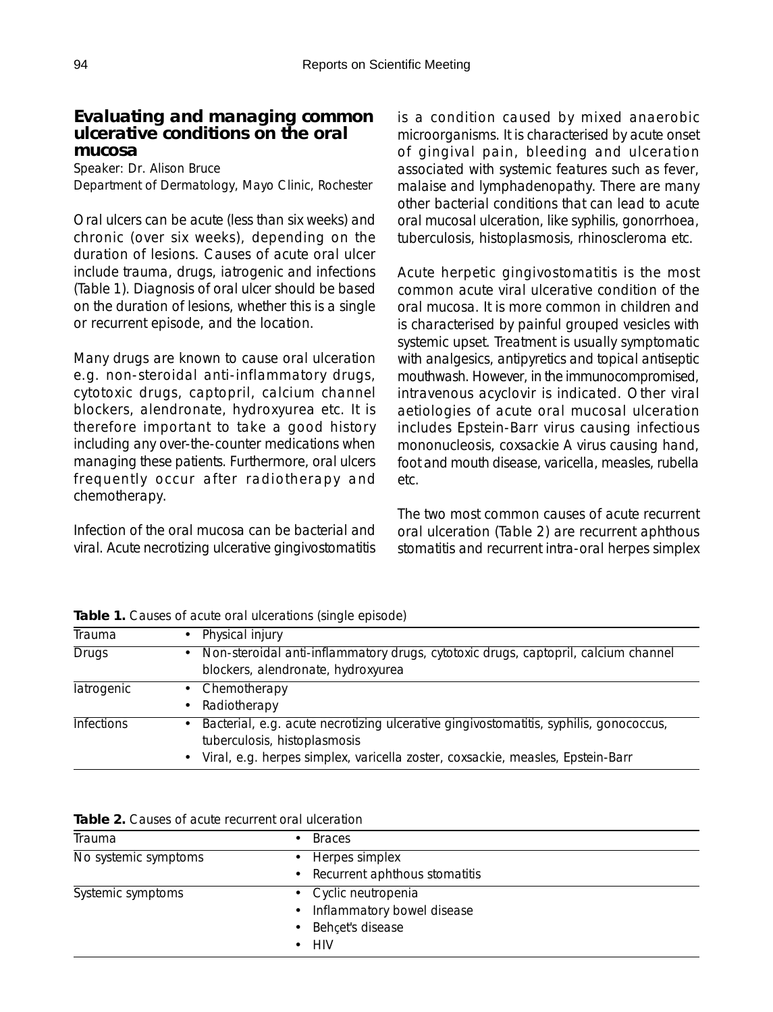#### **Evaluating and managing common ulcerative conditions on the oral mucosa**

Speaker: Dr. Alison Bruce Department of Dermatology, Mayo Clinic, Rochester

Oral ulcers can be acute (less than six weeks) and chronic (over six weeks), depending on the duration of lesions. Causes of acute oral ulcer include trauma, drugs, iatrogenic and infections (Table 1). Diagnosis of oral ulcer should be based on the duration of lesions, whether this is a single or recurrent episode, and the location.

Many drugs are known to cause oral ulceration e.g. non-steroidal anti-inflammatory drugs, cytotoxic drugs, captopril, calcium channel blockers, alendronate, hydroxyurea etc. It is therefore important to take a good history including any over-the-counter medications when managing these patients. Furthermore, oral ulcers frequently occur after radiotherapy and chemotherapy.

Infection of the oral mucosa can be bacterial and viral. Acute necrotizing ulcerative gingivostomatitis is a condition caused by mixed anaerobic microorganisms. It is characterised by acute onset of gingival pain, bleeding and ulceration associated with systemic features such as fever, malaise and lymphadenopathy. There are many other bacterial conditions that can lead to acute oral mucosal ulceration, like syphilis, gonorrhoea, tuberculosis, histoplasmosis, rhinoscleroma etc.

Acute herpetic gingivostomatitis is the most common acute viral ulcerative condition of the oral mucosa. It is more common in children and is characterised by painful grouped vesicles with systemic upset. Treatment is usually symptomatic with analgesics, antipyretics and topical antiseptic mouthwash. However, in the immunocompromised, intravenous acyclovir is indicated. Other viral aetiologies of acute oral mucosal ulceration includes Epstein-Barr virus causing infectious mononucleosis, coxsackie A virus causing hand, foot and mouth disease, varicella, measles, rubella etc.

The two most common causes of acute recurrent oral ulceration (Table 2) are recurrent aphthous stomatitis and recurrent intra-oral herpes simplex

| Trauma            | • Physical injury                                                                                                                                                                                           |
|-------------------|-------------------------------------------------------------------------------------------------------------------------------------------------------------------------------------------------------------|
| <b>Drugs</b>      | Non-steroidal anti-inflammatory drugs, cytotoxic drugs, captopril, calcium channel<br>$\bullet$<br>blockers, alendronate, hydroxyurea                                                                       |
| latrogenic        | • Chemotherapy<br>• Radiotherapy                                                                                                                                                                            |
| <b>Infections</b> | • Bacterial, e.g. acute necrotizing ulcerative gingivostomatitis, syphilis, gonococcus,<br>tuberculosis, histoplasmosis<br>• Viral, e.g. herpes simplex, varicella zoster, coxsackie, measles, Epstein-Barr |

**Table 1.** Causes of acute oral ulcerations (single episode)

| Table 2. Causes of acute recurrent oral ulceration |  |
|----------------------------------------------------|--|
|----------------------------------------------------|--|

| Trauma               | <b>Braces</b>                   |
|----------------------|---------------------------------|
| No systemic symptoms | • Herpes simplex                |
|                      | • Recurrent aphthous stomatitis |
| Systemic symptoms    | • Cyclic neutropenia            |
|                      | • Inflammatory bowel disease    |
|                      | • Behçet's disease              |
|                      | $\bullet$ HIV                   |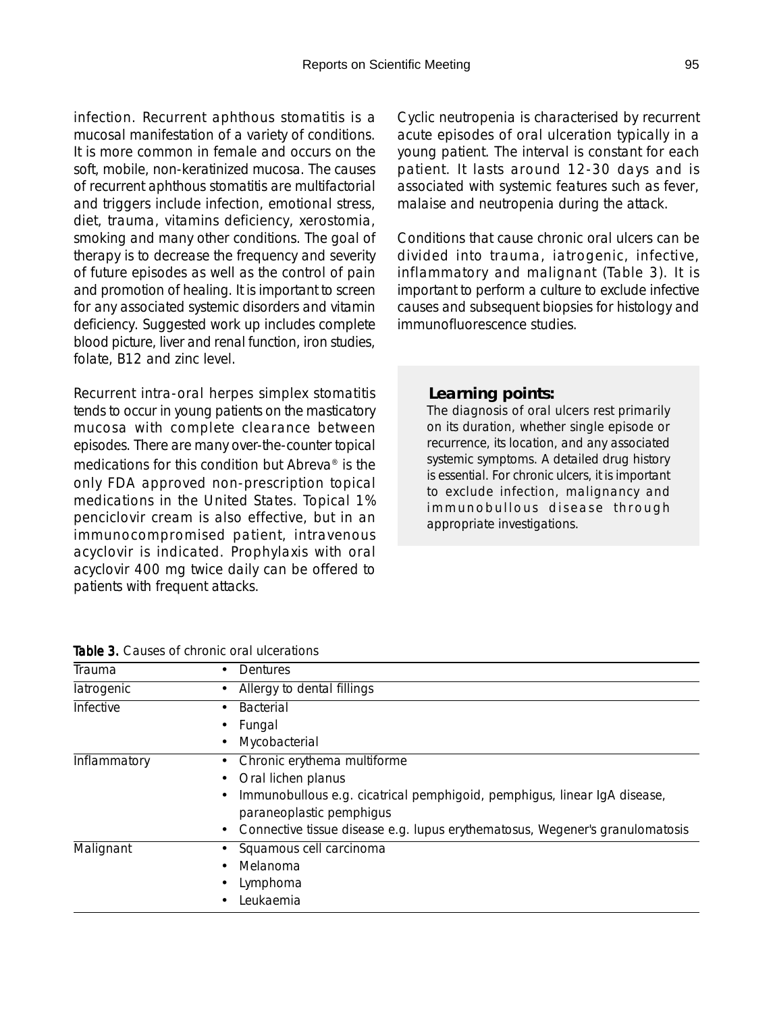infection. Recurrent aphthous stomatitis is a mucosal manifestation of a variety of conditions. It is more common in female and occurs on the soft, mobile, non-keratinized mucosa. The causes of recurrent aphthous stomatitis are multifactorial and triggers include infection, emotional stress, diet, trauma, vitamins deficiency, xerostomia, smoking and many other conditions. The goal of therapy is to decrease the frequency and severity of future episodes as well as the control of pain and promotion of healing. It is important to screen for any associated systemic disorders and vitamin deficiency. Suggested work up includes complete blood picture, liver and renal function, iron studies, folate, B12 and zinc level.

Recurrent intra-oral herpes simplex stomatitis tends to occur in young patients on the masticatory mucosa with complete clearance between episodes. There are many over-the-counter topical medications for this condition but Abreva® is the only FDA approved non-prescription topical medications in the United States. Topical 1% penciclovir cream is also effective, but in an immunocompromised patient, intravenous acyclovir is indicated. Prophylaxis with oral acyclovir 400 mg twice daily can be offered to patients with frequent attacks.

Cyclic neutropenia is characterised by recurrent acute episodes of oral ulceration typically in a young patient. The interval is constant for each patient. It lasts around 12-30 days and is associated with systemic features such as fever, malaise and neutropenia during the attack.

Conditions that cause chronic oral ulcers can be divided into trauma, iatrogenic, infective, inflammatory and malignant (Table 3). It is important to perform a culture to exclude infective causes and subsequent biopsies for histology and immunofluorescence studies.

#### *Learning points:*

The diagnosis of oral ulcers rest primarily on its duration, whether single episode or recurrence, its location, and any associated systemic symptoms. A detailed drug history is essential. For chronic ulcers, it is important to exclude infection, malignancy and immunobullous disease through appropriate investigations.

|  |  |  | <b>Table 3.</b> Causes of chronic oral ulcerations |
|--|--|--|----------------------------------------------------|
|  |  |  |                                                    |

| Trauma       | Dentures                                                                     |  |  |  |
|--------------|------------------------------------------------------------------------------|--|--|--|
| latrogenic   | Allergy to dental fillings                                                   |  |  |  |
| Infective    | <b>Bacterial</b>                                                             |  |  |  |
|              | Fungal                                                                       |  |  |  |
|              | Mycobacterial                                                                |  |  |  |
| Inflammatory | Chronic erythema multiforme<br>٠                                             |  |  |  |
|              | Oral lichen planus                                                           |  |  |  |
|              | Immunobullous e.g. cicatrical pemphigoid, pemphigus, linear IgA disease,     |  |  |  |
|              | paraneoplastic pemphigus                                                     |  |  |  |
|              | Connective tissue disease e.g. lupus erythematosus, Wegener's granulomatosis |  |  |  |
| Malignant    | Squamous cell carcinoma                                                      |  |  |  |
|              | Melanoma                                                                     |  |  |  |
|              | Lymphoma                                                                     |  |  |  |
|              | Leukaemia                                                                    |  |  |  |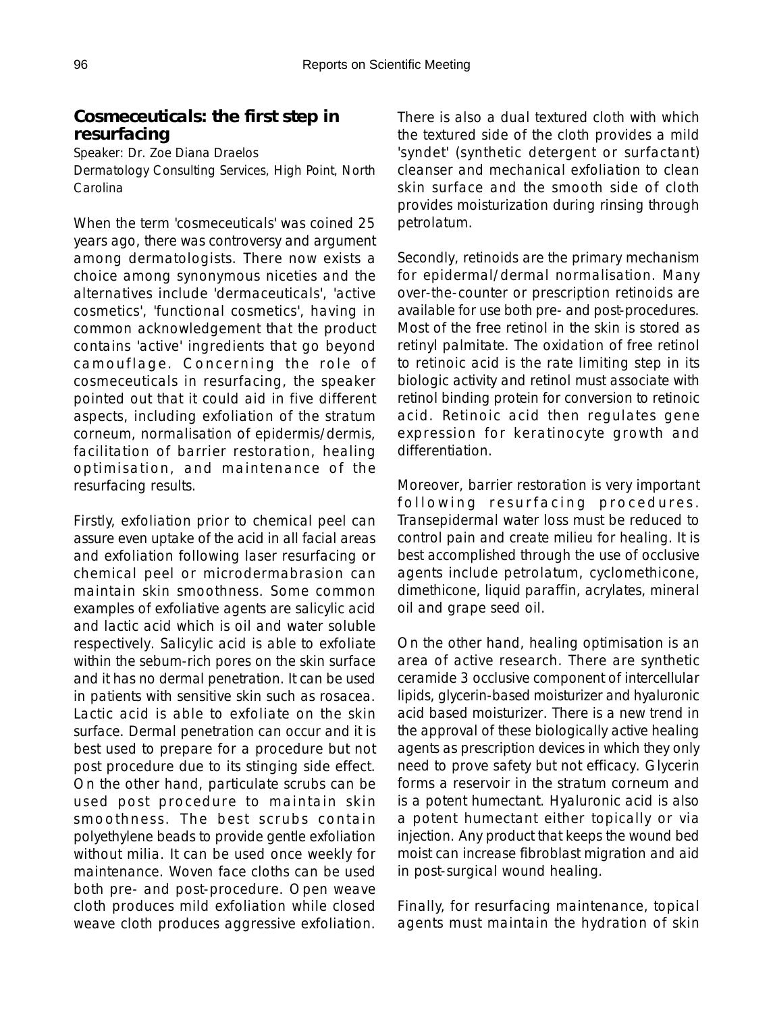### **Cosmeceuticals: the first step in resurfacing**

Speaker: Dr. Zoe Diana Draelos Dermatology Consulting Services, High Point, North Carolina

When the term 'cosmeceuticals' was coined 25 years ago, there was controversy and argument among dermatologists. There now exists a choice among synonymous niceties and the alternatives include 'dermaceuticals', 'active cosmetics', 'functional cosmetics', having in common acknowledgement that the product contains 'active' ingredients that go beyond camouflage. Concerning the role of cosmeceuticals in resurfacing, the speaker pointed out that it could aid in five different aspects, including exfoliation of the stratum corneum, normalisation of epidermis/dermis, facilitation of barrier restoration, healing optimisation, and maintenance of the resurfacing results.

Firstly, exfoliation prior to chemical peel can assure even uptake of the acid in all facial areas and exfoliation following laser resurfacing or chemical peel or microdermabrasion can maintain skin smoothness. Some common examples of exfoliative agents are salicylic acid and lactic acid which is oil and water soluble respectively. Salicylic acid is able to exfoliate within the sebum-rich pores on the skin surface and it has no dermal penetration. It can be used in patients with sensitive skin such as rosacea. Lactic acid is able to exfoliate on the skin surface. Dermal penetration can occur and it is best used to prepare for a procedure but not post procedure due to its stinging side effect. On the other hand, particulate scrubs can be used post procedure to maintain skin smoothness. The best scrubs contain polyethylene beads to provide gentle exfoliation without milia. It can be used once weekly for maintenance. Woven face cloths can be used both pre- and post-procedure. Open weave cloth produces mild exfoliation while closed weave cloth produces aggressive exfoliation.

There is also a dual textured cloth with which the textured side of the cloth provides a mild 'syndet' (synthetic detergent or surfactant) cleanser and mechanical exfoliation to clean skin surface and the smooth side of cloth provides moisturization during rinsing through petrolatum.

Secondly, retinoids are the primary mechanism for epidermal/dermal normalisation. Many over-the-counter or prescription retinoids are available for use both pre- and post-procedures. Most of the free retinol in the skin is stored as retinyl palmitate. The oxidation of free retinol to retinoic acid is the rate limiting step in its biologic activity and retinol must associate with retinol binding protein for conversion to retinoic acid. Retinoic acid then regulates gene expression for keratinocyte growth and differentiation.

Moreover, barrier restoration is very important following resurfacing procedures. Transepidermal water loss must be reduced to control pain and create milieu for healing. It is best accomplished through the use of occlusive agents include petrolatum, cyclomethicone, dimethicone, liquid paraffin, acrylates, mineral oil and grape seed oil.

On the other hand, healing optimisation is an area of active research. There are synthetic ceramide 3 occlusive component of intercellular lipids, glycerin-based moisturizer and hyaluronic acid based moisturizer. There is a new trend in the approval of these biologically active healing agents as prescription devices in which they only need to prove safety but not efficacy. Glycerin forms a reservoir in the stratum corneum and is a potent humectant. Hyaluronic acid is also a potent humectant either topically or via injection. Any product that keeps the wound bed moist can increase fibroblast migration and aid in post-surgical wound healing.

Finally, for resurfacing maintenance, topical agents must maintain the hydration of skin